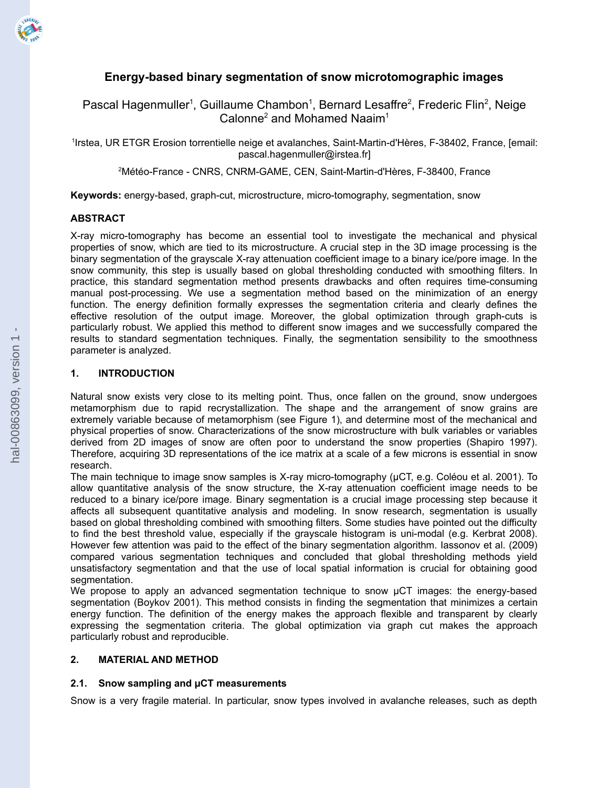

# **Energy-based binary segmentation of snow microtomographic images**

Pascal Hagenmuller<sup>1</sup>, Guillaume Chambon<sup>1</sup>, Bernard Lesaffre<sup>2</sup>, Frederic Flin<sup>2</sup>, Neige Calonne<sup>2</sup> and Mohamed Naaim<sup>1</sup>

1 Irstea, UR ETGR Erosion torrentielle neige et avalanches, Saint-Martin-d'Hères, F-38402, France, [email: pascal.hagenmuller@irstea.fr]

<sup>2</sup>Météo-France - CNRS, CNRM-GAME, CEN, Saint-Martin-d'Hères, F-38400, France

**Keywords:** energy-based, graph-cut, microstructure, micro-tomography, segmentation, snow

# **ABSTRACT**

X-ray micro-tomography has become an essential tool to investigate the mechanical and physical properties of snow, which are tied to its microstructure. A crucial step in the 3D image processing is the binary segmentation of the grayscale X-ray attenuation coefficient image to a binary ice/pore image. In the snow community, this step is usually based on global thresholding conducted with smoothing filters. In practice, this standard segmentation method presents drawbacks and often requires time-consuming manual post-processing. We use a segmentation method based on the minimization of an energy function. The energy definition formally expresses the segmentation criteria and clearly defines the effective resolution of the output image. Moreover, the global optimization through graph-cuts is particularly robust. We applied this method to different snow images and we successfully compared the results to standard segmentation techniques. Finally, the segmentation sensibility to the smoothness parameter is analyzed.

### **1. INTRODUCTION**

Natural snow exists very close to its melting point. Thus, once fallen on the ground, snow undergoes metamorphism due to rapid recrystallization. The shape and the arrangement of snow grains are extremely variable because of metamorphism (see Figure 1), and determine most of the mechanical and physical properties of snow. Characterizations of the snow microstructure with bulk variables or variables derived from 2D images of snow are often poor to understand the snow properties (Shapiro 1997). Therefore, acquiring 3D representations of the ice matrix at a scale of a few microns is essential in snow research.

The main technique to image snow samples is X-ray micro-tomography (µCT, e.g. Coléou et al. 2001). To allow quantitative analysis of the snow structure, the X-ray attenuation coefficient image needs to be reduced to a binary ice/pore image. Binary segmentation is a crucial image processing step because it affects all subsequent quantitative analysis and modeling. In snow research, segmentation is usually based on global thresholding combined with smoothing filters. Some studies have pointed out the difficulty to find the best threshold value, especially if the grayscale histogram is uni-modal (e.g. Kerbrat 2008). However few attention was paid to the effect of the binary segmentation algorithm. Iassonov et al. (2009) compared various segmentation techniques and concluded that global thresholding methods yield unsatisfactory segmentation and that the use of local spatial information is crucial for obtaining good segmentation.

We propose to apply an advanced segmentation technique to snow  $\mu$ CT images: the energy-based segmentation (Boykov 2001). This method consists in finding the segmentation that minimizes a certain energy function. The definition of the energy makes the approach flexible and transparent by clearly expressing the segmentation criteria. The global optimization via graph cut makes the approach particularly robust and reproducible.

# **2. MATERIAL AND METHOD**

# **2.1. Snow sampling and µCT measurements**

Snow is a very fragile material. In particular, snow types involved in avalanche releases, such as depth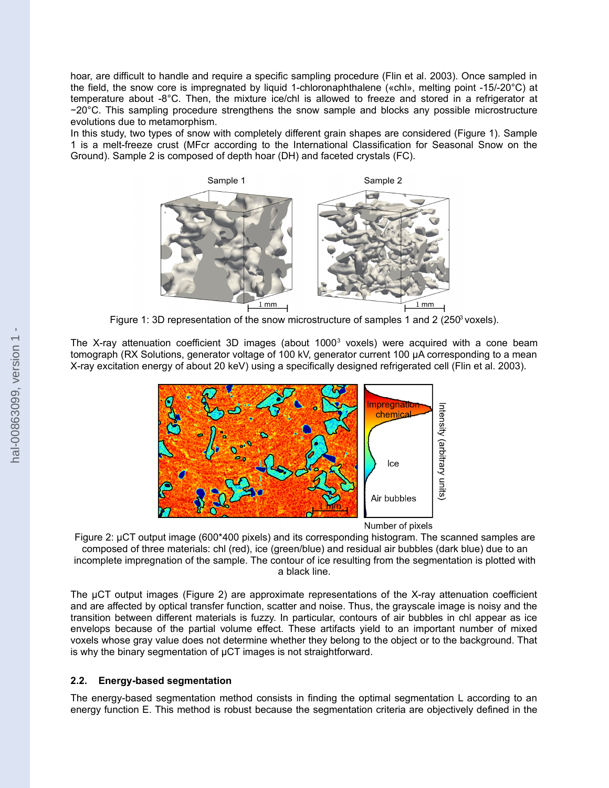hoar, are difficult to handle and require a specific sampling procedure (Flin et al. 2003). Once sampled in the field, the snow core is impregnated by liquid 1-chloronaphthalene («chl», melting point -15/-20°C) at temperature about -8°C. Then, the mixture ice/chl is allowed to freeze and stored in a refrigerator at −20°C. This sampling procedure strengthens the snow sample and blocks any possible microstructure evolutions due to metamorphism.

In this study, two types of snow with completely different grain shapes are considered (Figure 1). Sample 1 is a melt-freeze crust (MFcr according to the International Classification for Seasonal Snow on the Ground). Sample 2 is composed of depth hoar (DH) and faceted crystals (FC).



Figure 1: 3D representation of the snow microstructure of samples 1 and 2 (250 $\degree$  voxels).

The X-ray attenuation coefficient 3D images (about 1000 $^3$  voxels) were acquired with a cone beam tomograph (RX Solutions, generator voltage of 100 kV, generator current 100 µA corresponding to a mean X-ray excitation energy of about 20 keV) using a specifically designed refrigerated cell (Flin et al. 2003).



Number of pixels

Figure 2: µCT output image (600\*400 pixels) and its corresponding histogram. The scanned samples are composed of three materials: chl (red), ice (green/blue) and residual air bubbles (dark blue) due to an incomplete impregnation of the sample. The contour of ice resulting from the segmentation is plotted with a black line.

The µCT output images (Figure 2) are approximate representations of the X-ray attenuation coefficient and are affected by optical transfer function, scatter and noise. Thus, the grayscale image is noisy and the transition between different materials is fuzzy. In particular, contours of air bubbles in chl appear as ice envelops because of the partial volume effect. These artifacts yield to an important number of mixed voxels whose gray value does not determine whether they belong to the object or to the background. That is why the binary segmentation of µCT images is not straightforward.

# **2.2. Energy-based segmentation**

The energy-based segmentation method consists in finding the optimal segmentation L according to an energy function E. This method is robust because the segmentation criteria are objectively defined in the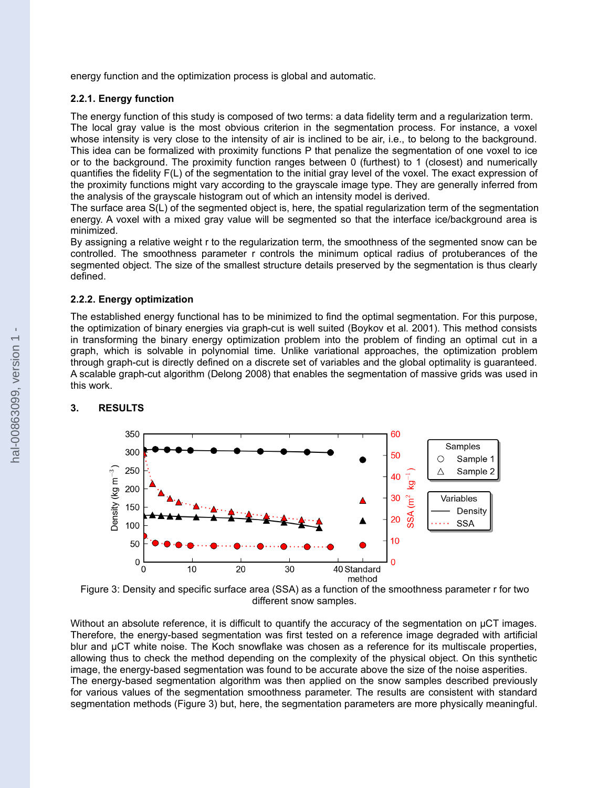energy function and the optimization process is global and automatic.

#### **2.2.1. Energy function**

The energy function of this study is composed of two terms: a data fidelity term and a regularization term. The local gray value is the most obvious criterion in the segmentation process. For instance, a voxel whose intensity is very close to the intensity of air is inclined to be air, i.e., to belong to the background. This idea can be formalized with proximity functions P that penalize the segmentation of one voxel to ice or to the background. The proximity function ranges between 0 (furthest) to 1 (closest) and numerically quantifies the fidelity F(L) of the segmentation to the initial gray level of the voxel. The exact expression of the proximity functions might vary according to the grayscale image type. They are generally inferred from the analysis of the grayscale histogram out of which an intensity model is derived.

The surface area S(L) of the segmented object is, here, the spatial regularization term of the segmentation energy. A voxel with a mixed gray value will be segmented so that the interface ice/background area is minimized.

By assigning a relative weight r to the regularization term, the smoothness of the segmented snow can be controlled. The smoothness parameter r controls the minimum optical radius of protuberances of the segmented object. The size of the smallest structure details preserved by the segmentation is thus clearly defined.

### **2.2.2. Energy optimization**

The established energy functional has to be minimized to find the optimal segmentation. For this purpose, the optimization of binary energies via graph-cut is well suited (Boykov et al. 2001). This method consists in transforming the binary energy optimization problem into the problem of finding an optimal cut in a graph, which is solvable in polynomial time. Unlike variational approaches, the optimization problem through graph-cut is directly defined on a discrete set of variables and the global optimality is guaranteed. A scalable graph-cut algorithm (Delong 2008) that enables the segmentation of massive grids was used in this work.

# **3. RESULTS**



Figure 3: Density and specific surface area (SSA) as a function of the smoothness parameter r for two different snow samples.

Without an absolute reference, it is difficult to quantify the accuracy of the segmentation on µCT images. Therefore, the energy-based segmentation was first tested on a reference image degraded with artificial blur and µCT white noise. The Koch snowflake was chosen as a reference for its multiscale properties, allowing thus to check the method depending on the complexity of the physical object. On this synthetic image, the energy-based segmentation was found to be accurate above the size of the noise asperities. The energy-based segmentation algorithm was then applied on the snow samples described previously for various values of the segmentation smoothness parameter. The results are consistent with standard segmentation methods (Figure 3) but, here, the segmentation parameters are more physically meaningful.